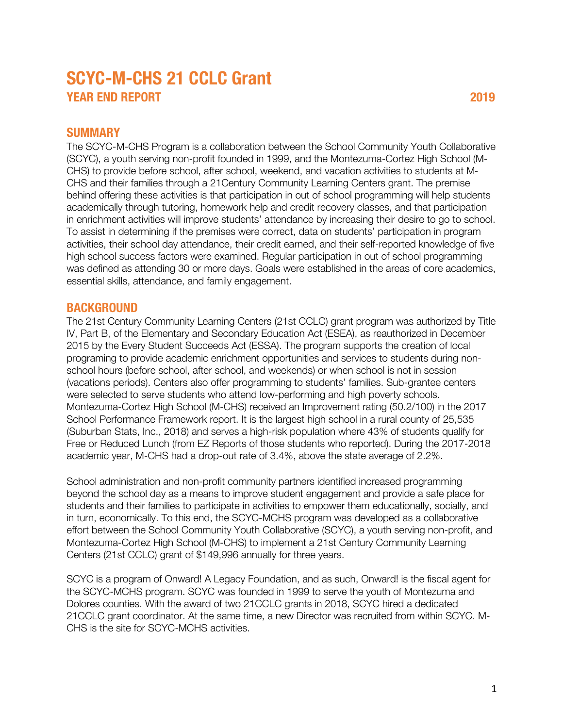# **SCYC-M-CHS 21 CCLC Grant TEAR END REPORT** 2019

#### **SUMMARY**

The SCYC-M-CHS Program is a collaboration between the School Community Youth Collaborative (SCYC), a youth serving non-profit founded in 1999, and the Montezuma-Cortez High School (M-CHS) to provide before school, after school, weekend, and vacation activities to students at M-CHS and their families through a 21Century Community Learning Centers grant. The premise behind offering these activities is that participation in out of school programming will help students academically through tutoring, homework help and credit recovery classes, and that participation in enrichment activities will improve students' attendance by increasing their desire to go to school. To assist in determining if the premises were correct, data on students' participation in program activities, their school day attendance, their credit earned, and their self-reported knowledge of five high school success factors were examined. Regular participation in out of school programming was defined as attending 30 or more days. Goals were established in the areas of core academics, essential skills, attendance, and family engagement.

### **BACKGROUND**

The 21st Century Community Learning Centers (21st CCLC) grant program was authorized by Title IV, Part B, of the Elementary and Secondary Education Act (ESEA), as reauthorized in December 2015 by the Every Student Succeeds Act (ESSA). The program supports the creation of local programing to provide academic enrichment opportunities and services to students during nonschool hours (before school, after school, and weekends) or when school is not in session (vacations periods). Centers also offer programming to students' families. Sub-grantee centers were selected to serve students who attend low-performing and high poverty schools. Montezuma-Cortez High School (M-CHS) received an Improvement rating (50.2/100) in the 2017 School Performance Framework report. It is the largest high school in a rural county of 25,535 (Suburban Stats, Inc., 2018) and serves a high-risk population where 43% of students qualify for Free or Reduced Lunch (from EZ Reports of those students who reported). During the 2017-2018 academic year, M-CHS had a drop-out rate of 3.4%, above the state average of 2.2%.

School administration and non-profit community partners identified increased programming beyond the school day as a means to improve student engagement and provide a safe place for students and their families to participate in activities to empower them educationally, socially, and in turn, economically. To this end, the SCYC-MCHS program was developed as a collaborative effort between the School Community Youth Collaborative (SCYC), a youth serving non-profit, and Montezuma-Cortez High School (M-CHS) to implement a 21st Century Community Learning Centers (21st CCLC) grant of \$149,996 annually for three years.

SCYC is a program of Onward! A Legacy Foundation, and as such, Onward! is the fiscal agent for the SCYC-MCHS program. SCYC was founded in 1999 to serve the youth of Montezuma and Dolores counties. With the award of two 21CCLC grants in 2018, SCYC hired a dedicated 21CCLC grant coordinator. At the same time, a new Director was recruited from within SCYC. M-CHS is the site for SCYC-MCHS activities.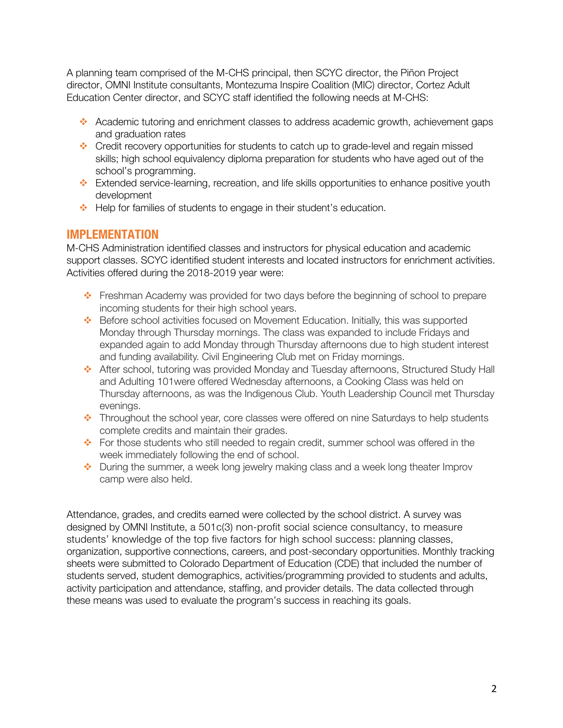A planning team comprised of the M-CHS principal, then SCYC director, the Piñon Project director, OMNI Institute consultants, Montezuma Inspire Coalition (MIC) director, Cortez Adult Education Center director, and SCYC staff identified the following needs at M-CHS:

- Academic tutoring and enrichment classes to address academic growth, achievement gaps and graduation rates
- \* Credit recovery opportunities for students to catch up to grade-level and regain missed skills; high school equivalency diploma preparation for students who have aged out of the school's programming.
- \* Extended service-learning, recreation, and life skills opportunities to enhance positive youth development
- Help for families of students to engage in their student's education.

# **IMPLEMENTATION**

M-CHS Administration identified classes and instructors for physical education and academic support classes. SCYC identified student interests and located instructors for enrichment activities. Activities offered during the 2018-2019 year were:

- v Freshman Academy was provided for two days before the beginning of school to prepare incoming students for their high school years.
- $\div$  Before school activities focused on Movement Education. Initially, this was supported Monday through Thursday mornings. The class was expanded to include Fridays and expanded again to add Monday through Thursday afternoons due to high student interest and funding availability. Civil Engineering Club met on Friday mornings.
- \* After school, tutoring was provided Monday and Tuesday afternoons, Structured Study Hall and Adulting 101were offered Wednesday afternoons, a Cooking Class was held on Thursday afternoons, as was the Indigenous Club. Youth Leadership Council met Thursday evenings.
- Throughout the school year, core classes were offered on nine Saturdays to help students complete credits and maintain their grades.
- For those students who still needed to regain credit, summer school was offered in the week immediately following the end of school.
- During the summer, a week long jewelry making class and a week long theater Improv camp were also held.

Attendance, grades, and credits earned were collected by the school district. A survey was designed by OMNI Institute, a 501c(3) non-profit social science consultancy, to measure students' knowledge of the top five factors for high school success: planning classes, organization, supportive connections, careers, and post-secondary opportunities. Monthly tracking sheets were submitted to Colorado Department of Education (CDE) that included the number of students served, student demographics, activities/programming provided to students and adults, activity participation and attendance, staffing, and provider details. The data collected through these means was used to evaluate the program's success in reaching its goals.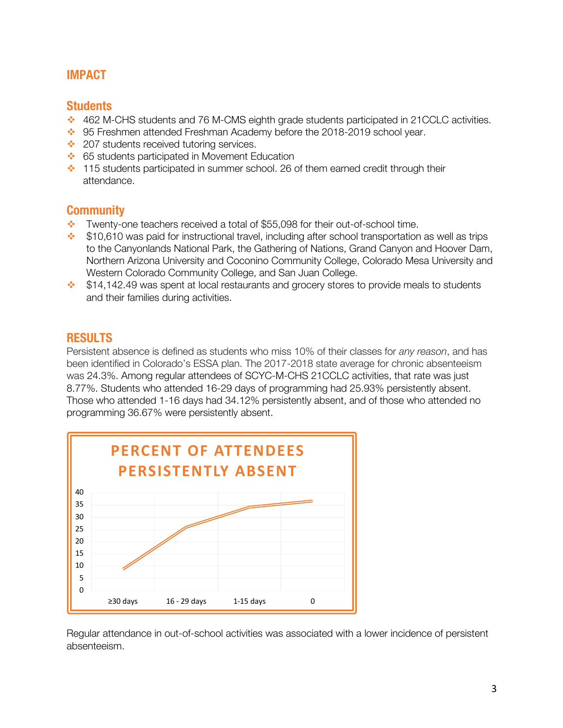# **IMPACT**

#### **Students**

- v 462 M-CHS students and 76 M-CMS eighth grade students participated in 21CCLC activities.
- 95 Freshmen attended Freshman Academy before the 2018-2019 school year.
- $\div$  207 students received tutoring services.
- **↓** 65 students participated in Movement Education
- $\cdot$  115 students participated in summer school. 26 of them earned credit through their attendance.

## **Community**

- $\bullet$  Twenty-one teachers received a total of \$55,098 for their out-of-school time.
- $\div$  \$10,610 was paid for instructional travel, including after school transportation as well as trips to the Canyonlands National Park, the Gathering of Nations, Grand Canyon and Hoover Dam, Northern Arizona University and Coconino Community College, Colorado Mesa University and Western Colorado Community College, and San Juan College.
- $\cdot$  \$14,142.49 was spent at local restaurants and grocery stores to provide meals to students and their families during activities.

## **RESULTS**

Persistent absence is defined as students who miss 10% of their classes for *any reason*, and has been identified in Colorado's ESSA plan. The 2017-2018 state average for chronic absenteeism was 24.3%. Among regular attendees of SCYC-M-CHS 21CCLC activities, that rate was just 8.77%. Students who attended 16-29 days of programming had 25.93% persistently absent. Those who attended 1-16 days had 34.12% persistently absent, and of those who attended no programming 36.67% were persistently absent.



Regular attendance in out-of-school activities was associated with a lower incidence of persistent absenteeism.